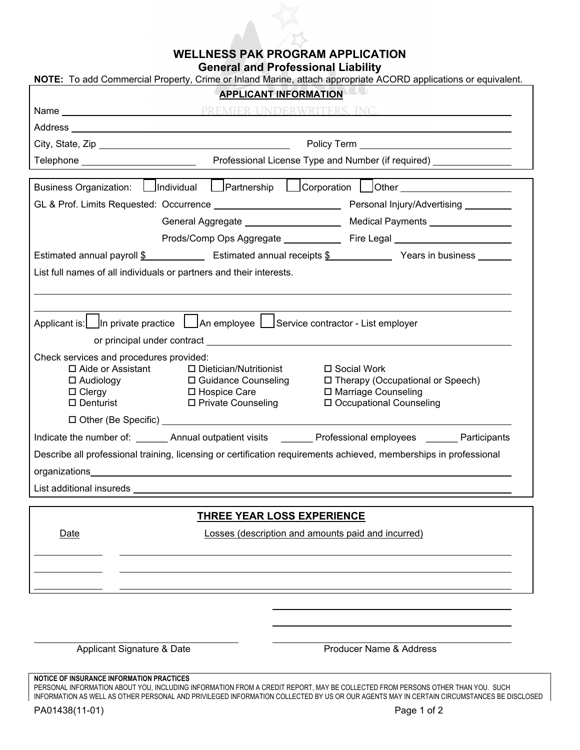## **WELLNESS PAK PROGRAM APPLICATION**

**General and Professional Liability** 

| NOTE: To add Commercial Property, Crime or Inland Marine, attach appropriate ACORD applications or equivalent.    |                                                                                                        |                                                                                                                                                                                                                               |  |
|-------------------------------------------------------------------------------------------------------------------|--------------------------------------------------------------------------------------------------------|-------------------------------------------------------------------------------------------------------------------------------------------------------------------------------------------------------------------------------|--|
| <b>APPLICANT INFORMATION</b>                                                                                      |                                                                                                        |                                                                                                                                                                                                                               |  |
|                                                                                                                   |                                                                                                        |                                                                                                                                                                                                                               |  |
|                                                                                                                   |                                                                                                        | Address and the contract of the contract of the contract of the contract of the contract of the contract of the                                                                                                               |  |
|                                                                                                                   |                                                                                                        |                                                                                                                                                                                                                               |  |
|                                                                                                                   |                                                                                                        |                                                                                                                                                                                                                               |  |
|                                                                                                                   |                                                                                                        |                                                                                                                                                                                                                               |  |
| Business Organization: C Individual Partnership C Corporation Other C Current Corporation                         |                                                                                                        |                                                                                                                                                                                                                               |  |
|                                                                                                                   |                                                                                                        |                                                                                                                                                                                                                               |  |
|                                                                                                                   |                                                                                                        |                                                                                                                                                                                                                               |  |
|                                                                                                                   |                                                                                                        |                                                                                                                                                                                                                               |  |
| Estimated annual payroll \$ ______________ Estimated annual receipts \$ ___________ Years in business ______      |                                                                                                        |                                                                                                                                                                                                                               |  |
| List full names of all individuals or partners and their interests.                                               |                                                                                                        |                                                                                                                                                                                                                               |  |
|                                                                                                                   |                                                                                                        |                                                                                                                                                                                                                               |  |
|                                                                                                                   |                                                                                                        |                                                                                                                                                                                                                               |  |
| Applicant is: In private practice   An employee   Service contractor - List employer                              |                                                                                                        |                                                                                                                                                                                                                               |  |
|                                                                                                                   |                                                                                                        | or principal under contract expression of the contract of the contract of the contract of the contract of the contract of the contract of the contract of the contract of the contract of the contract of the contract of the |  |
| Check services and procedures provided:                                                                           |                                                                                                        |                                                                                                                                                                                                                               |  |
| $\Box$ Aide or Assistant                                                                                          | □ Dietician/Nutritionist<br>□ Social Work                                                              |                                                                                                                                                                                                                               |  |
| $\square$ Audiology<br>$\Box$ Clergy                                                                              | □ Therapy (Occupational or Speech)<br>□ Guidance Counseling<br>□ Marriage Counseling<br>□ Hospice Care |                                                                                                                                                                                                                               |  |
| $\square$ Denturist                                                                                               | □ Private Counseling                                                                                   | □ Occupational Counseling                                                                                                                                                                                                     |  |
| □ Other (Be Specific) National Action of the Specific)                                                            |                                                                                                        |                                                                                                                                                                                                                               |  |
|                                                                                                                   |                                                                                                        | Indicate the number of: ______ Annual outpatient visits ______ Professional employees ______ Participants                                                                                                                     |  |
| Describe all professional training, licensing or certification requirements achieved, memberships in professional |                                                                                                        |                                                                                                                                                                                                                               |  |
| organizations experience and a series of the series of the series of the series of the series of the series of    |                                                                                                        |                                                                                                                                                                                                                               |  |
|                                                                                                                   |                                                                                                        |                                                                                                                                                                                                                               |  |
|                                                                                                                   |                                                                                                        |                                                                                                                                                                                                                               |  |
| <b>THREE YEAR LOSS EXPERIENCE</b>                                                                                 |                                                                                                        |                                                                                                                                                                                                                               |  |
| Losses (description and amounts paid and incurred)<br><b>Date</b>                                                 |                                                                                                        |                                                                                                                                                                                                                               |  |
|                                                                                                                   |                                                                                                        |                                                                                                                                                                                                                               |  |
|                                                                                                                   |                                                                                                        |                                                                                                                                                                                                                               |  |
|                                                                                                                   |                                                                                                        |                                                                                                                                                                                                                               |  |
|                                                                                                                   |                                                                                                        |                                                                                                                                                                                                                               |  |

Applicant Signature & Date **Producer Name & Address** 

**NOTICE OF INSURANCE INFORMATION PRACTICES** 

PERSONAL INFORMATION ABOUT YOU, INCLUDING INFORMATION FROM A CREDIT REPORT, MAY BE COLLECTED FROM PERSONS OTHER THAN YOU. SUCH INFORMATION AS WELL AS OTHER PERSONAL AND PRIVILEGED INFORMATION COLLECTED BY US OR OUR AGENTS MAY IN CERTAIN CIRCUMSTANCES BE DISCLOSED